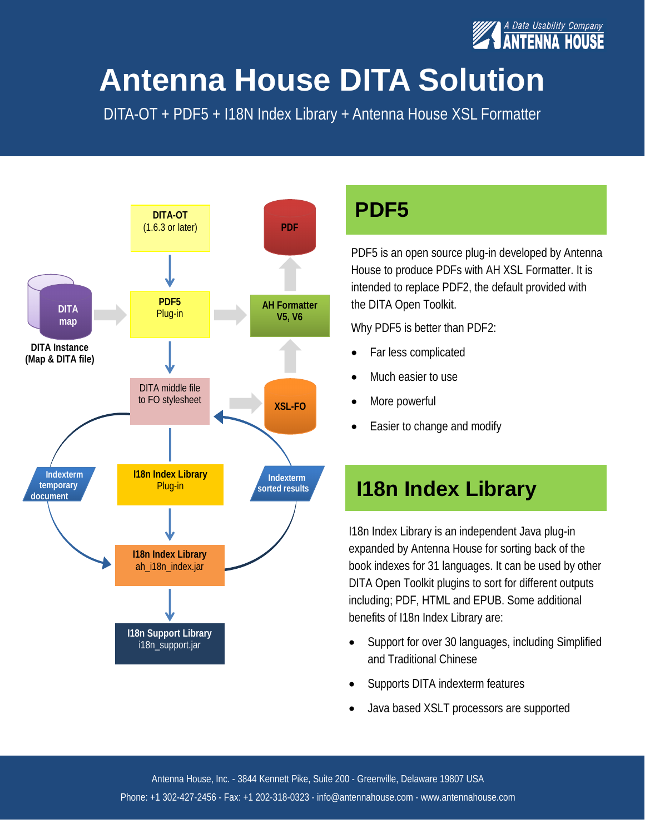

## **Antenna House DITA Solution**

DITA-OT + PDF5 + I18N Index Library + Antenna House XSL Formatter



#### **PDF5**

PDF5 is an open source plug-in developed by Antenna House to produce PDFs with AH XSL Formatter. It is intended to replace PDF2, the default provided with the DITA Open Toolkit.

Why PDF5 is better than PDF2:

- Far less complicated
- Much easier to use
- More powerful
- Easier to change and modify

### **I18n Index Library**

I18n Index Library is an independent Java plug-in expanded by Antenna House for sorting back of the book indexes for 31 languages. It can be used by other DITA Open Toolkit plugins to sort for different outputs including; PDF, HTML and EPUB. Some additional benefits of I18n Index Library are:

- Support for over 30 languages, including Simplified and Traditional Chinese
- · Supports DITA indexterm features
- · Java based XSLT processors are supported

Antenna House, Inc. - 3844 Kennett Pike, Suite 200 - Greenville, Delaware 19807 USA Phone: +1 302-427-2456 - Fax: +1 202-318-0323 - info@antennahouse.com - www.antennahouse.com